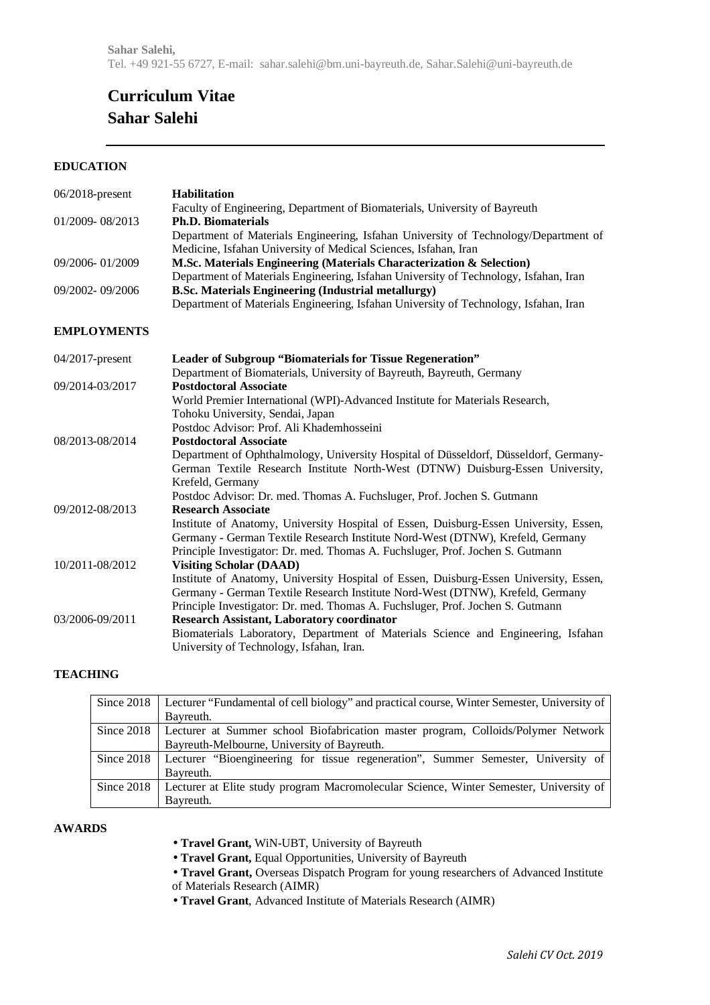# **Curriculum Vitae Sahar Salehi**

# **EDUCATION**

| 06/2018-present    | <b>Habilitation</b>                                                                   |
|--------------------|---------------------------------------------------------------------------------------|
|                    | Faculty of Engineering, Department of Biomaterials, University of Bayreuth            |
| 01/2009-08/2013    | <b>Ph.D. Biomaterials</b>                                                             |
|                    | Department of Materials Engineering, Isfahan University of Technology/Department of   |
|                    | Medicine, Isfahan University of Medical Sciences, Isfahan, Iran                       |
| 09/2006-01/2009    | M.Sc. Materials Engineering (Materials Characterization & Selection)                  |
|                    | Department of Materials Engineering, Isfahan University of Technology, Isfahan, Iran  |
| 09/2002-09/2006    | <b>B.Sc. Materials Engineering (Industrial metallurgy)</b>                            |
|                    | Department of Materials Engineering, Isfahan University of Technology, Isfahan, Iran  |
| <b>EMPLOYMENTS</b> |                                                                                       |
| 04/2017-present    | <b>Leader of Subgroup "Biomaterials for Tissue Regeneration"</b>                      |
|                    | Department of Biomaterials, University of Bayreuth, Bayreuth, Germany                 |
| 09/2014-03/2017    | <b>Postdoctoral Associate</b>                                                         |
|                    | World Premier International (WPI)-Advanced Institute for Materials Research,          |
|                    | Tohoku University, Sendai, Japan                                                      |
|                    | Postdoc Advisor: Prof. Ali Khademhosseini                                             |
| 08/2013-08/2014    | <b>Postdoctoral Associate</b>                                                         |
|                    | Department of Ophthalmology, University Hospital of Düsseldorf, Düsseldorf, Germany-  |
|                    | German Textile Research Institute North-West (DTNW) Duisburg-Essen University,        |
|                    | Krefeld, Germany                                                                      |
|                    | Postdoc Advisor: Dr. med. Thomas A. Fuchsluger, Prof. Jochen S. Gutmann               |
| 09/2012-08/2013    | <b>Research Associate</b>                                                             |
|                    | Institute of Anatomy, University Hospital of Essen, Duisburg-Essen University, Essen, |
|                    | Germany - German Textile Research Institute Nord-West (DTNW), Krefeld, Germany        |
|                    | Principle Investigator: Dr. med. Thomas A. Fuchsluger, Prof. Jochen S. Gutmann        |
| 10/2011-08/2012    | <b>Visiting Scholar (DAAD)</b>                                                        |
|                    | Institute of Anatomy, University Hospital of Essen, Duisburg-Essen University, Essen, |
|                    | Germany - German Textile Research Institute Nord-West (DTNW), Krefeld, Germany        |
|                    | Principle Investigator: Dr. med. Thomas A. Fuchsluger, Prof. Jochen S. Gutmann        |
| 03/2006-09/2011    | <b>Research Assistant, Laboratory coordinator</b>                                     |
|                    | Biomaterials Laboratory, Department of Materials Science and Engineering, Isfahan     |
|                    | University of Technology, Isfahan, Iran.                                              |

### **TEACHING**

| Since 2018   | Lecturer "Fundamental of cell biology" and practical course, Winter Semester, University of |
|--------------|---------------------------------------------------------------------------------------------|
|              | Bayreuth.                                                                                   |
| Since 2018   | Lecturer at Summer school Biofabrication master program, Colloids/Polymer Network           |
|              | Bayreuth-Melbourne, University of Bayreuth.                                                 |
| Since 2018   | Lecturer "Bioengineering for tissue regeneration", Summer Semester, University of           |
|              | Bayreuth.                                                                                   |
| Since $2018$ | Lecturer at Elite study program Macromolecular Science, Winter Semester, University of      |
|              | Bayreuth.                                                                                   |

## **AWARDS**

- **Travel Grant,** WiN-UBT, University of Bayreuth
- **Travel Grant,** Equal Opportunities, University of Bayreuth
- **Travel Grant,** Overseas Dispatch Program for young researchers of Advanced Institute of Materials Research (AIMR)
- **Travel Grant**, Advanced Institute of Materials Research (AIMR)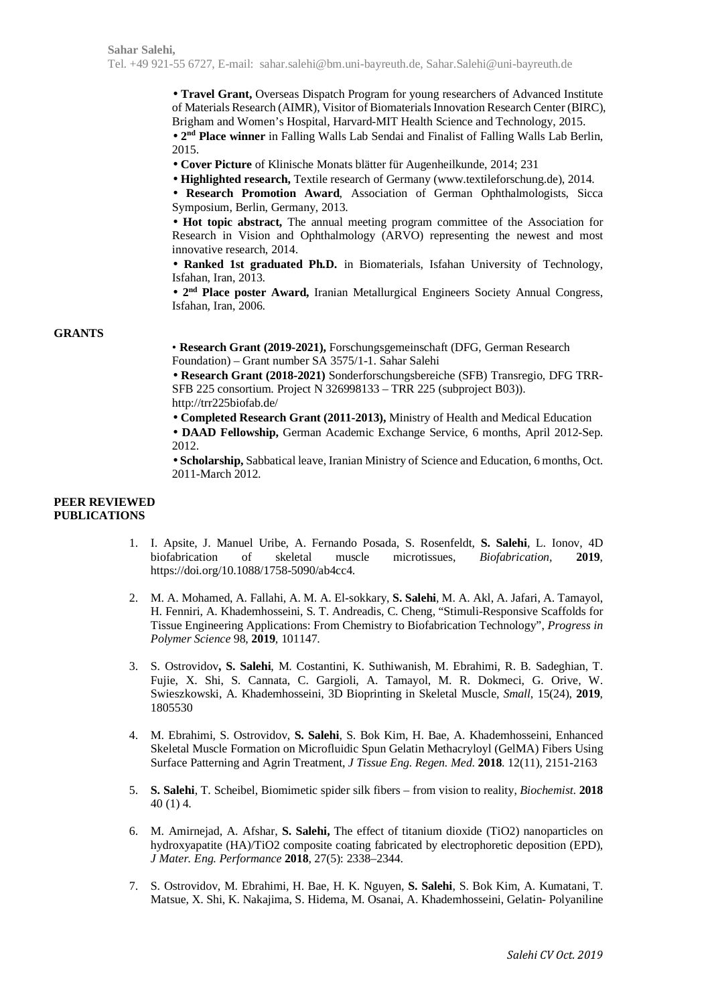• **Travel Grant,** Overseas Dispatch Program for young researchers of Advanced Institute of Materials Research (AIMR), Visitor of Biomaterials Innovation Research Center (BIRC), Brigham and Women's Hospital, Harvard-MIT Health Science and Technology, 2015. • **2nd Place winner** in Falling Walls Lab Sendai and Finalist of Falling Walls Lab Berlin,

2015.

• **Cover Picture** of Klinische Monats blätter für Augenheilkunde, 2014; 231

• **Highlighted research,** Textile research of Germany (www.textileforschung.de), 2014.

• **Research Promotion Award**, Association of German Ophthalmologists, Sicca Symposium, Berlin, Germany, 2013.

• **Hot topic abstract,** The annual meeting program committee of the Association for Research in Vision and Ophthalmology (ARVO) representing the newest and most innovative research, 2014.

• **Ranked 1st graduated Ph.D.** in Biomaterials, Isfahan University of Technology, Isfahan, Iran, 2013.

• **2nd Place poster Award,** Iranian Metallurgical Engineers Society Annual Congress, Isfahan, Iran, 2006.

#### **GRANTS**

• **Research Grant (2019-2021),** Forschungsgemeinschaft (DFG, German Research Foundation) – Grant number SA 3575/1-1. Sahar Salehi

• **Research Grant (2018-2021)** Sonderforschungsbereiche (SFB) Transregio, DFG TRR-SFB 225 consortium. Project N 326998133 – TRR 225 (subproject B03)). http://trr225biofab.de/

• **Completed Research Grant (2011-2013),** Ministry of Health and Medical Education

• **DAAD Fellowship,** German Academic Exchange Service, 6 months, April 2012-Sep. 2012.

• **Scholarship,** Sabbatical leave, Iranian Ministry of Science and Education, 6 months, Oct. 2011-March 2012.

#### **PEER REVIEWED PUBLICATIONS**

- 1. I. Apsite, J. Manuel Uribe, A. Fernando Posada, S. Rosenfeldt, **S. Salehi**, L. Ionov, 4D biofabrication of skeletal muscle microtissues, *Biofabrication,* **2019**, https://doi.org/10.1088/1758-5090/ab4cc4.
- 2. M. A. Mohamed, A. Fallahi, A. M. A. El-sokkary, **S. Salehi**, M. A. Akl, A. Jafari, A. Tamayol, H. Fenniri, A. Khademhosseini, S. T. Andreadis, C. Cheng, "Stimuli-Responsive Scaffolds for Tissue Engineering Applications: From Chemistry to Biofabrication Technology", *Progress in Polymer Science* 98, **2019**, 101147.
- 3. S. Ostrovidov**, S. Salehi**, M. Costantini, K. Suthiwanish, M. Ebrahimi, R. B. Sadeghian, T. Fujie, X. Shi, S. Cannata, C. Gargioli, A. Tamayol, M. R. Dokmeci, G. Orive, W. Swieszkowski, A. Khademhosseini, 3D Bioprinting in Skeletal Muscle, *Small*, 15(24), **2019**, 1805530
- 4. M. Ebrahimi, S. Ostrovidov, **S. Salehi**, S. Bok Kim, H. Bae, A. Khademhosseini, Enhanced Skeletal Muscle Formation on Microfluidic Spun Gelatin Methacryloyl (GelMA) Fibers Using Surface Patterning and Agrin Treatment, *J Tissue Eng. Regen. Med*. **2018**. 12(11), 2151-2163
- 5. **S. Salehi**, T. Scheibel, Biomimetic spider silk fibers from vision to reality, *Biochemist*. **2018** 40 (1) 4.
- 6. M. Amirnejad, A. Afshar, **S. Salehi,** The effect of titanium dioxide (TiO2) nanoparticles on hydroxyapatite (HA)/TiO2 composite coating fabricated by electrophoretic deposition (EPD), *J Mater. Eng. Performance* **2018**, 27(5): 2338–2344.
- 7. S. Ostrovidov, M. Ebrahimi, H. Bae, H. K. Nguyen, **S. Salehi**, S. Bok Kim, A. Kumatani, T. Matsue, X. Shi, K. Nakajima, S. Hidema, M. Osanai, A. Khademhosseini, Gelatin- Polyaniline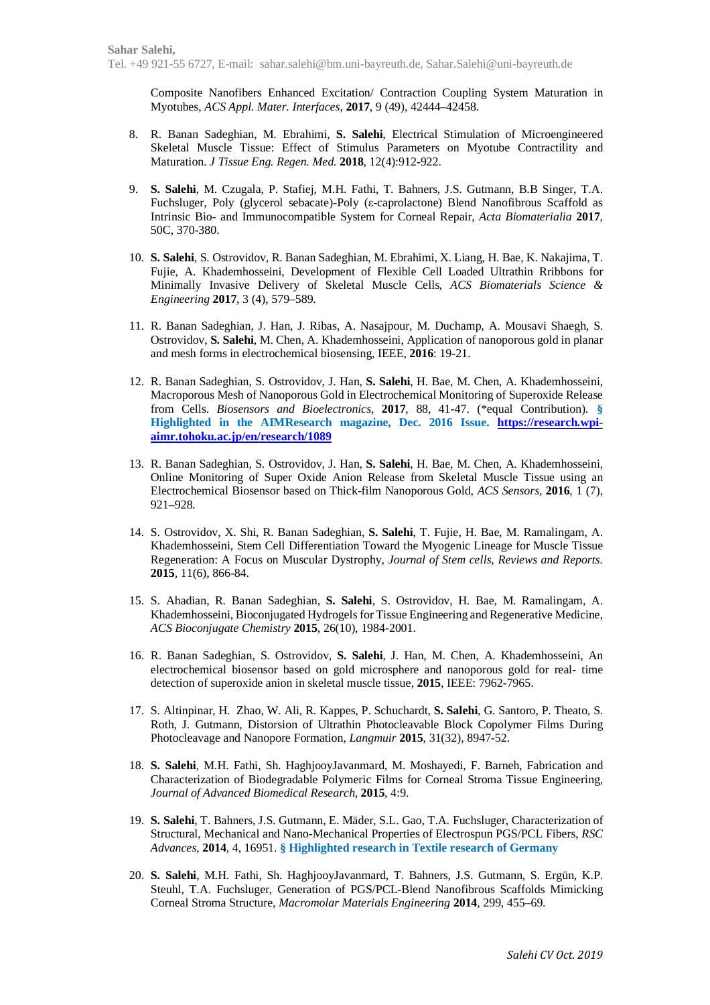Composite Nanofibers Enhanced Excitation/ Contraction Coupling System Maturation in Myotubes, *ACS Appl. Mater. Interfaces*, **2017**, 9 (49), 42444–42458.

- 8. R. Banan Sadeghian, M. Ebrahimi, **S. Salehi**, Electrical Stimulation of Microengineered Skeletal Muscle Tissue: Effect of Stimulus Parameters on Myotube Contractility and Maturation. *J Tissue Eng. Regen. Med.* **2018**, 12(4):912-922.
- 9. **S. Salehi**, M. Czugala, P. Stafiej, M.H. Fathi, T. Bahners, J.S. Gutmann, B.B Singer, T.A. Fuchsluger, Poly (glycerol sebacate)-Poly (ε-caprolactone) Blend Nanofibrous Scaffold as Intrinsic Bio- and Immunocompatible System for Corneal Repair, *Acta Biomaterialia* **2017**, 50C, 370-380.
- 10. **S. Salehi**, S. Ostrovidov, R. Banan Sadeghian, M. Ebrahimi, X. Liang, H. Bae, K. Nakajima, T. Fujie, A. Khademhosseini, Development of Flexible Cell Loaded Ultrathin Rribbons for Minimally Invasive Delivery of Skeletal Muscle Cells, *ACS Biomaterials Science & Engineering* **2017**, 3 (4), 579–589.
- 11. R. Banan Sadeghian, J. Han, J. Ribas, A. Nasajpour, M. Duchamp, A. Mousavi Shaegh, S. Ostrovidov, **S. Salehi**, M. Chen, A. Khademhosseini, Application of nanoporous gold in planar and mesh forms in electrochemical biosensing, IEEE, **2016**: 19-21.
- 12. R. Banan Sadeghian, S. Ostrovidov, J. Han, **S. Salehi**, H. Bae, M. Chen, A. Khademhosseini, Macroporous Mesh of Nanoporous Gold in Electrochemical Monitoring of Superoxide Release from Cells. *Biosensors and Bioelectronics*, **2017**, 88, 41-47. (\*equal Contribution). **§ Highlighted in the AIMResearch magazine, Dec. 2016 Issue. https://research.wpiaimr.tohoku.ac.jp/en/research/1089**
- 13. R. Banan Sadeghian, S. Ostrovidov, J. Han, **S. Salehi**, H. Bae, M. Chen, A. Khademhosseini, Online Monitoring of Super Oxide Anion Release from Skeletal Muscle Tissue using an Electrochemical Biosensor based on Thick-film Nanoporous Gold, *ACS Sensors,* **2016**, 1 (7), 921–928.
- 14. S. Ostrovidov, X. Shi, R. Banan Sadeghian, **S. Salehi**, T. Fujie, H. Bae, M. Ramalingam, A. Khademhosseini, Stem Cell Differentiation Toward the Myogenic Lineage for Muscle Tissue Regeneration: A Focus on Muscular Dystrophy, *Journal of Stem cells, Reviews and Reports.* **2015**, 11(6), 866-84.
- 15. S. Ahadian, R. Banan Sadeghian, **S. Salehi**, S. Ostrovidov, H. Bae, M. Ramalingam, A. Khademhosseini, Bioconjugated Hydrogels for Tissue Engineering and Regenerative Medicine, *ACS Bioconjugate Chemistry* **2015**, 26(10), 1984-2001.
- 16. R. Banan Sadeghian, S. Ostrovidov, **S. Salehi**, J. Han, M. Chen, A. Khademhosseini, An electrochemical biosensor based on gold microsphere and nanoporous gold for real- time detection of superoxide anion in skeletal muscle tissue, **2015**, IEEE: 7962-7965.
- 17. S. Altinpinar, H. Zhao, W. Ali, R. Kappes, P. Schuchardt, **S. Salehi**, G. Santoro, P. Theato, S. Roth, J. Gutmann, Distorsion of Ultrathin Photocleavable Block Copolymer Films During Photocleavage and Nanopore Formation, *Langmuir* **2015**, 31(32), 8947-52.
- 18. **S. Salehi**, M.H. Fathi, Sh. HaghjooyJavanmard, M. Moshayedi, F. Barneh, Fabrication and Characterization of Biodegradable Polymeric Films for Corneal Stroma Tissue Engineering, *Journal of Advanced Biomedical Research*, **2015**, 4:9.
- 19. **S. Salehi**, T. Bahners, J.S. Gutmann, E. Mäder, S.L. Gao, T.A. Fuchsluger, Characterization of Structural, Mechanical and Nano-Mechanical Properties of Electrospun PGS/PCL Fibers, *RSC Advances*, **2014**, 4, 16951. **§ Highlighted research in Textile research of Germany**
- 20. **S. Salehi**, M.H. Fathi, Sh. HaghjooyJavanmard, T. Bahners, J.S. Gutmann, S. Ergün, K.P. Steuhl, T.A. Fuchsluger, Generation of PGS/PCL-Blend Nanofibrous Scaffolds Mimicking Corneal Stroma Structure, *Macromolar Materials Engineering* **2014**, 299, 455–69.